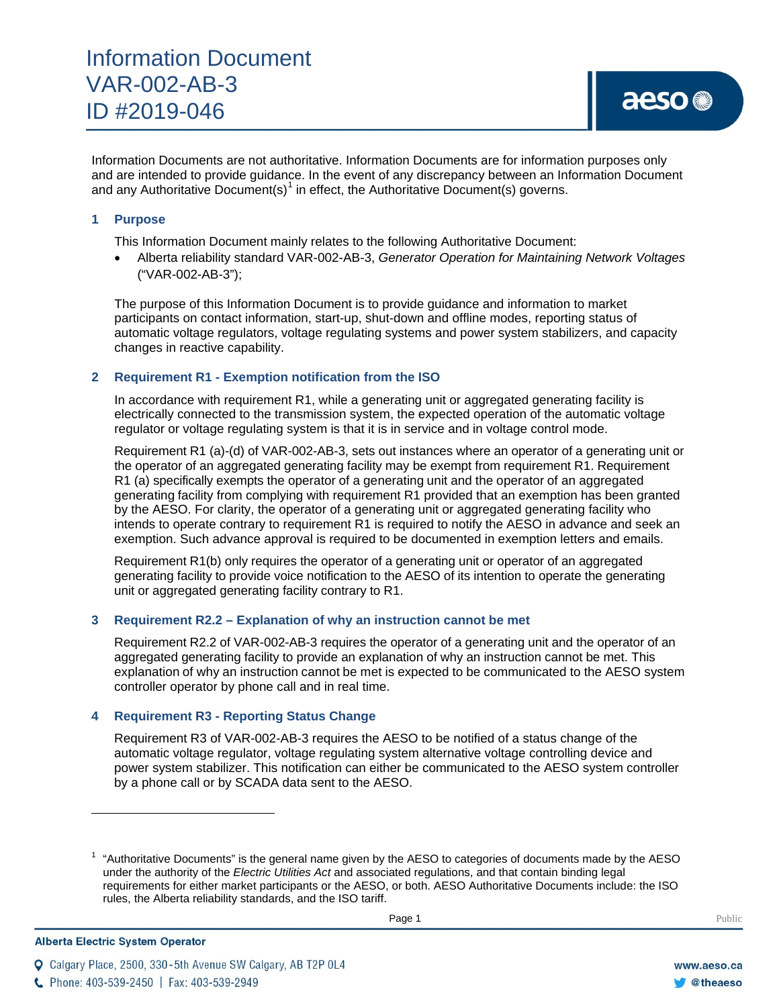Information Documents are not authoritative. Information Documents are for information purposes only and are intended to provide guidance. In the event of any discrepancy between an Information Document and any Authoritative Document(s)<sup>[1](#page-0-0)</sup> in effect, the Authoritative Document(s) governs.

# **1 Purpose**

This Information Document mainly relates to the following Authoritative Document:

• Alberta reliability standard VAR-002-AB-3, *Generator Operation for Maintaining Network Voltages* ("VAR-002-AB-3");

The purpose of this Information Document is to provide guidance and information to market participants on contact information, start-up, shut-down and offline modes, reporting status of automatic voltage regulators, voltage regulating systems and power system stabilizers, and capacity changes in reactive capability.

# **2 Requirement R1 - Exemption notification from the ISO**

In accordance with requirement R1, while a generating unit or aggregated generating facility is electrically connected to the transmission system, the expected operation of the automatic voltage regulator or voltage regulating system is that it is in service and in voltage control mode.

Requirement R1 (a)-(d) of VAR-002-AB-3, sets out instances where an operator of a generating unit or the operator of an aggregated generating facility may be exempt from requirement R1. Requirement R1 (a) specifically exempts the operator of a generating unit and the operator of an aggregated generating facility from complying with requirement R1 provided that an exemption has been granted by the AESO. For clarity, the operator of a generating unit or aggregated generating facility who intends to operate contrary to requirement R1 is required to notify the AESO in advance and seek an exemption. Such advance approval is required to be documented in exemption letters and emails.

Requirement R1(b) only requires the operator of a generating unit or operator of an aggregated generating facility to provide voice notification to the AESO of its intention to operate the generating unit or aggregated generating facility contrary to R1.

## **3 Requirement R2.2 – Explanation of why an instruction cannot be met**

Requirement R2.2 of VAR-002-AB-3 requires the operator of a generating unit and the operator of an aggregated generating facility to provide an explanation of why an instruction cannot be met. This explanation of why an instruction cannot be met is expected to be communicated to the AESO system controller operator by phone call and in real time.

## **4 Requirement R3 - Reporting Status Change**

Requirement R3 of VAR-002-AB-3 requires the AESO to be notified of a status change of the automatic voltage regulator, voltage regulating system alternative voltage controlling device and power system stabilizer. This notification can either be communicated to the AESO system controller by a phone call or by SCADA data sent to the AESO.

Calgary Place, 2500, 330-5th Avenue SW Calgary, AB T2P 0L4

<span id="page-0-0"></span>**Alberta Electric System Operator** 

 $\overline{\phantom{a}}$ 

 $1$  "Authoritative Documents" is the general name given by the AESO to categories of documents made by the AESO under the authority of the *Electric Utilities Act* and associated regulations, and that contain binding legal requirements for either market participants or the AESO, or both. AESO Authoritative Documents include: the ISO rules, the Alberta reliability standards, and the ISO tariff.